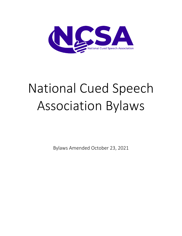

# National Cued Speech Association Bylaws

Bylaws Amended October 23, 2021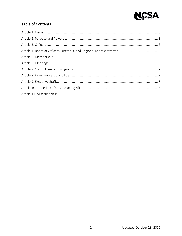

## Table of Contents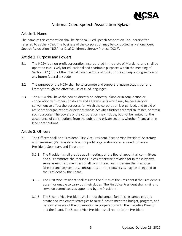

# National Cued Speech Association Bylaws

#### Article 1. Name

The name of this corporation shall be National Cued Speech Association, Inc., hereinafter referred to as the NCSA. The business of the corporation may be conducted as National Cued Speech Association (NCSA) or Deaf Children's Literacy Project (DCLP).

#### Article 2. Purpose and Powers

- 2.1 The NCSA is a non-profit corporation incorporated in the state of Maryland, and shall be operated exclusively for educational and charitable purposes within the meaning of Section 501(c)(3) of the Internal Revenue Code of 1986, or the corresponding section of any future federal tax code.
- 2.2 The purpose of the NCSA shall be to promote and support language acquisition and literacy through the effective use of cued languages.
- 2.3 The NCSA shall have the power, directly or indirectly, alone or in conjunction or cooperation with others, to do any and all lawful acts which may be necessary or convenient to effect the purposes for which the corporation is organized, and to aid or assist other organizations or persons whose activities further accomplish, foster, or attain such purposes. The powers of the corporation may include, but not be limited to, the acceptance of contributions from the public and private sectors, whether financial or inkind contributions.

## Article 3. Officers

- 3.1 The Officers shall be a President, First Vice President, Second Vice President, Secretary and Treasurer. (Per Maryland law, nonprofit organizations are required to have a President, Secretary, and Treasurer.)
	- 3.1.1 The President shall preside at all meetings of the Board, appoint all committees and all committee chairpersons unless otherwise provided for in these bylaws, serve as ex-officio members of all committees, and supervise the Executive Director and any vendors, contractors, or other powers as may be delegated to the President by the Board.
	- 3.1.2 The First Vice President shall assume the duties of the President if the President is absent or unable to carry out their duties. The First Vice President shall chair and serve on committees as appointed by the President.
	- 3.1.3 The Second Vice President shall direct the annual fundraising campaigns and create and implement strategies to raise funds to meet the budget, program, and personnel needs of the organization in cooperation with the Executive Director and the Board. The Second Vice President shall report to the President.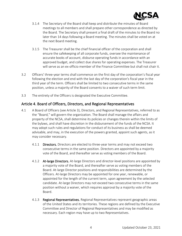

- 3.1.4 The Secretary of the Board shall keep and distribute the minutes of Board meetings to all members and shall prepare other correspondence as directed by the Board. The Secretary shall present a final draft of the minutes to the Board no later than 14 days following a Board meeting. The minutes shall be voted on at the next Board meeting.
- 3.1.5 The Treasurer shall be the chief financial officer of the corporation and shall ensure the safekeeping of all corporate funds, oversee the maintenance of accurate books of account, disburse operating funds in accordance with an approved budget, and collect due shares for operating expenses. The Treasurer will serve as an ex-officio member of the Finance Committee but shall not chair it.
- 3.2 Officers' three-year terms shall commence on the first day of the corporation's fiscal year following the election and end with the last day of the corporation's fiscal year in the third year of the term. Officers shall be limited to two consecutive terms in the same position, unless a majority of the Board consents to a waiver of such term limit.
- 3.3 The entirety of the Officers is designated the Executive Committee.

#### Article 4. Board of Officers, Directors, and Regional Representatives

- 4.1 A Board of Officers (see Article 3), Directors, and Regional Representatives, referred to as the "Board," will govern the organization. The Board shall manage the affairs and property of the NCSA, shall determine its policies or changes therein within the limits of the bylaws, and shall have discretion in the disbursement of the funds of the NCSA. It may adopt such rules and regulations for conduct of its business as shall be deemed advisable, and may, in the execution of the powers granted, appoint such agents, as it may consider necessary.
	- 4.1.1 Directors. Directors are elected to three-year terms and may not exceed two consecutive terms in the same position. Directors are appointed by a majority vote of the Board, and thereafter serve as voting members of the Board.
	- 4.1.2 **At-large Directors.** At-large Directors and director-level positions are appointed by a majority vote of the Board, and thereafter serve as voting members of the Board. At-large Director positions and responsibilities are determined by the Officers. At-large Directors may be appointed for one year, renewable, or appointed for the length of the current term, upon agreement by the selected candidate. At-large Directors may not exceed two consecutive terms in the same position without a waiver, which requires approval by a majority vote of the Board.
	- 4.1.3 Regional Representatives. Regional Representatives represent geographic areas of the United States and its territories. These regions are defined by the Executive Committee and Director of Regional Representatives and may be modified as necessary. Each region may have up to two Representatives.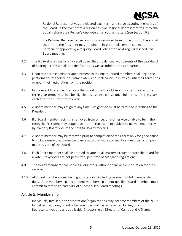

Regional Representatives are elected each term and serve as voting members of the Board. In the event that a region has two Regional Representatives, they shall equally share their Region's one vote on all voting matters (see Section 6.3).

If a Regional Representative resigns or is removed from office prior to the end of their term, the President may appoint an interim replacement subject to permanent approval by a majority Board vote at the next regularly scheduled Board meeting.

- 4.2 The NCSA shall strive for an overall Board that is balanced with parents of the deaf/hard of hearing, professionals and deaf cuers, as well as other interested parties.
- 4.3 Upon mid-term election or appointment to the Board, Board members shall begin the performance of their duties immediately and shall continue in office until their term ends or upon their resignation from the position.
- 4.4 In the event that a member joins the Board more than 12 months after the start of a three-year term, they shall be eligible to serve two consecutive full terms of three years each after the current term ends.
- 4.5 A Board member may resign at any time. Resignation must be provided in writing to the President.
- 4.6 If a Board member resigns, is removed from office, or is otherwise unable to fulfill their term, the President may appoint an interim replacement subject to permanent approval by majority Board vote at the next full Board meeting.
- 4.7 A Board member may be removed prior to completion of their term only for good cause, to include unexcused non-attendance at two or more consecutive meetings, and upon majority vote of the Board.
- 4.8 Each Board member shall be entitled to vote on all matters brought before the Board for a vote. Proxy votes are not permitted, per State of Maryland regulations.
- 4.9 The Board members shall serve as volunteers without financial compensation for their services.
- 4.10 All Board members must be in good standing, including payment of full membership dues. (Free membership and student membership do not qualify.) Board members must commit to attend at least 50% of all scheduled Board meetings.

#### Article 5. Membership

5.1 Individuals, families, and corporations/organizations may become members of the NCSA. In matters requiring Board votes, members will be represented by Regional Representatives and any applicable Directors, e.g., Director of Camps and Affiliates.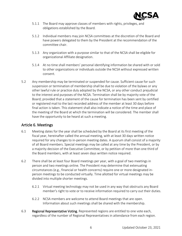

- 5.1.1 The Board may approve classes of members with rights, privileges, and obligations established by the Board.
- 5.1.2 Individual members may join NCSA committees at the discretion of the Board and have powers delegated to them by the President at the recommendation of the committee chair.
- 5.1.3 Any organization with a purpose similar to that of the NCSA shall be eligible for organizational Affiliate designation.
- 5.1.4 At no time shall members' personal identifying information be shared with or sold to other organizations or individuals outside the NCSA without expressed written consent.
- 5.2 Any membership may be terminated or suspended for cause. Sufficient cause for such suspension or termination of membership shall be due to violation of the bylaws or any other lawful rule or practice duly adopted by the NCSA, or any other conduct prejudicial to the interest and purposes of the NCSA. Termination shall be by majority vote of the Board; provided that a statement of the cause for termination has been sent by certified or registered mail to the last recorded address of the member at least 30 days before final action is taken. This statement shall also indicate a notice of the time and place of the meeting of the Board at which the termination will be considered. The member shall have the opportunity to be heard at such a meeting.

#### Article 6. Meetings

- 6.1 Meeting dates for the year shall be scheduled by the Board at its first meeting of the fiscal year, hereinafter called the annual meeting, with at least 30 days written notice required for any changes to in-person meeting dates. A quorum shall consist of a majority of all Board members. Special meetings may be called at any time by the President, or by a majority decision of the Executive Committee, or by petition of more than one third of the Board members, with at least seven days written notice required.
- 6.2 There shall be at least four Board meetings per year, with a goal of two meetings in person and two meetings online. The President may determine that extenuating circumstances (e.g., financial or health concerns) require one or more designated inperson meetings to be conducted virtually. Time allotted for virtual meetings may be divided into multiple shorter meetings.
	- 6.2.1 Virtual meeting technology may not be used in any way that obstructs any Board member's right to vote or to receive information required to carry out their duties.
	- 6.2.2 NCSA members are welcome to attend Board meetings that are open. Information about such meetings shall be shared with the membership.
- 6.3 Regional Representative Voting. Represented regions are entitled to one vote each, regardless of the number of Regional Representatives in attendance from each region.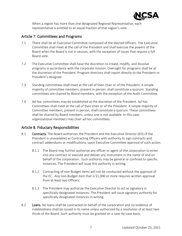

When a region has more than one designated Regional Representative, each representative is entitled to an equal fraction of that region's vote.

#### Article 7. Committees and Programs

- 7.1 There shall be an Executive Committee composed of the elected Officers. The Executive Committee shall meet at the call of the President and shall exercise the powers of the Board when the Board is not in session, with the exception of issues that require a full Board vote.
- 7.2 The Executive Committee shall have the discretion to create, modify, and dissolve programs in accordance with the corporate mission. Oversight for programs shall be at the discretion of the President. Program directors shall report directly to the President or President's designee.
- 7.3 Standing committees shall meet at the call of their chair or of the President. A simple majority of committee members, present in person, shall constitute a quorum. Standing committees are chaired by Board members, with the exception of the Audit Committee.
- 7.4 Ad hoc committees may be established at the discretion of the President. Ad hoc Committees shall meet at the call of their chair or of the President. A simple majority of Committee members, present in person, shall constitute a quorum. These committees shall be chaired by Board members, unless one is not available. In this case, organizational members may chair ad hoc committees.

#### Article 8. Fiduciary Responsibilities

- 8.1 Contracts. The Board authorizes the President and the Executive Director (ED) (if the President is unavailable) as Contracting Officers with authority to sign contracts and contract addendums or modifications, upon Executive Committee approval of such action.
	- 8.1.1 The Board may further authorize any officer or agent of the corporation to enter into any contract or execute and deliver any instrument in the name of and on behalf of the corporation. Such authority may be general or confined to specific instances. The President will issue this authority in writing.
	- 8.1.2 Contracting of non-Budget items will not be conducted without the approval of the EC. Any non-Budget item that is \$1,000 or more requires written approval from at least two Officers.
	- 8.1.3 The President may authorize the Executive Director to act as signatory in specifically designated instances. The President will issue signatory authority for specifically designated instances in writing.
- 8.2 Loans. No loans shall be contracted on behalf of the corporation and no evidence of indebtedness shall be issued in its name unless authorized by a resolution of at least twothirds of the Board. Such authority must be granted on a case-by-case basis.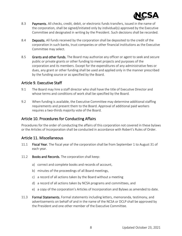

- 8.3 Payments. All checks, credit, debit, or electronic funds transfers, issued in the name of the corporation, shall be signed/initiated only by individual(s) approved by the Executive Committee and designated in writing by the President. Such decisions shall be recorded.
- 8.4 Deposits. All funds received by the corporation shall be deposited to the credit of the corporation in such banks, trust companies or other financial institutions as the Executive Committee may select.
- 8.5 Grants and other funds. The Board may authorize any officer or agent to seek and secure public or private grants or other funding to meet projects and purposes of the corporation and its members. Except for the expenditures of any administrative fees or dues, any grant or other funding shall be used and applied only in the manner prescribed by the funding source or as specified by the Board.

#### Article 9. Executive Staff

- 9.1 The Board may hire a staff director who shall have the title of Executive Director and whose terms and conditions of work shall be specified by the Board.
- 9.2 When funding is available, the Executive Committee may determine additional staffing requirements and present them to the Board. Approval of additional paid workers requires a two-thirds majority vote of the Board.

## Article 10. Procedures for Conducting Affairs

Procedures for the order of conducting the affairs of this corporation not covered in these bylaws or the Articles of Incorporation shall be conducted in accordance with Robert's Rules of Order.

#### Article 11. Miscellaneous

- 11.1 Fiscal Year. The fiscal year of the corporation shall be from September 1 to August 31 of each year.
- 11.2 Books and Records. The corporation shall keep:
	- a) correct and complete books and records of account,
	- b) minutes of the proceedings of all Board meetings,
	- c) a record of all actions taken by the Board without a meeting
	- d) a record of all actions taken by NCSA programs and committees, and
	- e) a copy of the corporation's Articles of Incorporation and Bylaws as amended to date.
- 11.3 Formal Statements. Formal statements including letters, memoranda, testimony, and advertisements on behalf of and in the name of the NCSA or DCLP shall be approved by the President and one other member of the Executive Committee.